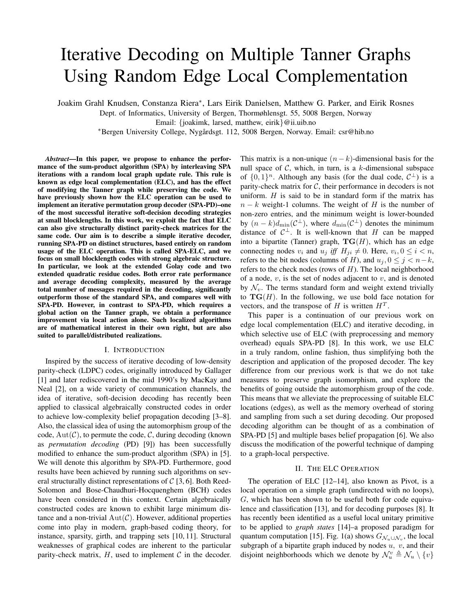# Iterative Decoding on Multiple Tanner Graphs Using Random Edge Local Complementation

Joakim Grahl Knudsen, Constanza Riera<sup>∗</sup> , Lars Eirik Danielsen, Matthew G. Parker, and Eirik Rosnes

Dept. of Informatics, University of Bergen, Thormøhlensgt. 55, 5008 Bergen, Norway

Email: {joakimk, larsed, matthew, eirik}@ii.uib.no

<sup>∗</sup>Bergen University College, Nygardsgt. 112, 5008 Bergen, Norway. Email: csr@hib.no ˚

*Abstract***—In this paper, we propose to enhance the performance of the sum-product algorithm (SPA) by interleaving SPA iterations with a random local graph update rule. This rule is known as edge local complementation (ELC), and has the effect of modifying the Tanner graph while preserving the code. We have previously shown how the ELC operation can be used to implement an iterative permutation group decoder (SPA-PD)–one of the most successful iterative soft-decision decoding strategies at small blocklengths. In this work, we exploit the fact that ELC can also give structurally distinct parity-check matrices for the same code. Our aim is to describe a simple iterative decoder, running SPA-PD on distinct structures, based entirely on random usage of the ELC operation. This is called SPA-ELC, and we focus on small blocklength codes with strong algebraic structure. In particular, we look at the extended Golay code and two extended quadratic residue codes. Both error rate performance and average decoding complexity, measured by the average total number of messages required in the decoding, significantly outperform those of the standard SPA, and compares well with SPA-PD. However, in contrast to SPA-PD, which requires a global action on the Tanner graph, we obtain a performance improvement via local action alone. Such localized algorithms are of mathematical interest in their own right, but are also suited to parallel/distributed realizations.**

### I. INTRODUCTION

Inspired by the success of iterative decoding of low-density parity-check (LDPC) codes, originally introduced by Gallager [1] and later rediscovered in the mid 1990's by MacKay and Neal [2], on a wide variety of communication channels, the idea of iterative, soft-decision decoding has recently been applied to classical algebraically constructed codes in order to achieve low-complexity belief propagation decoding [3–8]. Also, the classical idea of using the automorphism group of the code,  $Aut(\mathcal{C})$ , to permute the code,  $\mathcal{C}$ , during decoding (known as *permutation decoding* (PD) [9]) has been successfully modified to enhance the sum-product algorithm (SPA) in [5]. We will denote this algorithm by SPA-PD. Furthermore, good results have been achieved by running such algorithms on several structurally distinct representations of  $C$  [3, 6]. Both Reed-Solomon and Bose-Chaudhuri-Hocquenghem (BCH) codes have been considered in this context. Certain algebraically constructed codes are known to exhibit large minimum distance and a non-trivial  $Aut(\mathcal{C})$ . However, additional properties come into play in modern, graph-based coding theory, for instance, sparsity, girth, and trapping sets [10, 11]. Structural weaknesses of graphical codes are inherent to the particular parity-check matrix,  $H$ , used to implement  $C$  in the decoder. This matrix is a non-unique  $(n - k)$ -dimensional basis for the null space of  $C$ , which, in turn, is a k-dimensional subspace of  $\{0,1\}^n$ . Although any basis (for the dual code,  $\mathcal{C}^{\perp}$ ) is a parity-check matrix for  $C$ , their performance in decoders is not uniform.  $H$  is said to be in standard form if the matrix has  $n - k$  weight-1 columns. The weight of H is the number of non-zero entries, and the minimum weight is lower-bounded by  $(n - k)d_{\min}(\mathcal{C}^{\perp})$ , where  $d_{\min}(\mathcal{C}^{\perp})$  denotes the minimum distance of  $C^{\perp}$ . It is well-known that H can be mapped into a bipartite (Tanner) graph,  $TG(H)$ , which has an edge connecting nodes  $v_i$  and  $u_j$  iff  $H_{ji} \neq 0$ . Here,  $v_i, 0 \leq i < n$ , refers to the bit nodes (columns of H), and  $u_j$ ,  $0 \le j < n-k$ , refers to the check nodes (rows of  $H$ ). The local neighborhood of a node,  $v$ , is the set of nodes adjacent to  $v$ , and is denoted by  $\mathcal{N}_v$ . The terms standard form and weight extend trivially to  $TG(H)$ . In the following, we use bold face notation for vectors, and the transpose of H is written  $H<sup>T</sup>$ .

This paper is a continuation of our previous work on edge local complementation (ELC) and iterative decoding, in which selective use of ELC (with preprocessing and memory overhead) equals SPA-PD [8]. In this work, we use ELC in a truly random, online fashion, thus simplifying both the description and application of the proposed decoder. The key difference from our previous work is that we do not take measures to preserve graph isomorphism, and explore the benefits of going outside the automorphism group of the code. This means that we alleviate the preprocessing of suitable ELC locations (edges), as well as the memory overhead of storing and sampling from such a set during decoding. Our proposed decoding algorithm can be thought of as a combination of SPA-PD [5] and multiple bases belief propagation [6]. We also discuss the modification of the powerful technique of damping to a graph-local perspective.

# II. THE ELC OPERATION

The operation of ELC [12–14], also known as Pivot, is a local operation on a simple graph (undirected with no loops), G, which has been shown to be useful both for code equivalence and classification [13], and for decoding purposes [8]. It has recently been identified as a useful local unitary primitive to be applied to *graph states* [14]–a proposed paradigm for quantum computation [15]. Fig. 1(a) shows  $G_{\mathcal{N}_u \cup \mathcal{N}_v}$ , the local subgraph of a bipartite graph induced by nodes  $u, v$ , and their disjoint neighborhoods which we denote by  $\mathcal{N}_u^v \triangleq \mathcal{N}_u \setminus \{v\}$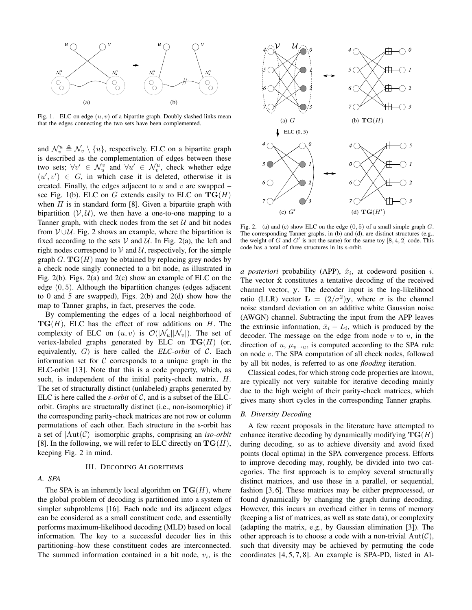

Fig. 1. ELC on edge  $(u, v)$  of a bipartite graph. Doubly slashed links mean that the edges connecting the two sets have been complemented.

and  $\mathcal{N}_v^u \triangleq \mathcal{N}_v \setminus \{u\}$ , respectively. ELC on a bipartite graph is described as the complementation of edges between these two sets;  $\forall v' \in \mathcal{N}_u^v$  and  $\forall u' \in \mathcal{N}_v^u$ , check whether edge  $(u', v') \in G$ , in which case it is deleted, otherwise it is created. Finally, the edges adjacent to  $u$  and  $v$  are swapped – see Fig. 1(b). ELC on G extends easily to ELC on  $\mathbf{TG}(H)$ when  $H$  is in standard form [8]. Given a bipartite graph with bipartition  $(V, U)$ , we then have a one-to-one mapping to a Tanner graph, with check nodes from the set  $U$  and bit nodes from  $V \cup U$ . Fig. 2 shows an example, where the bipartition is fixed according to the sets  $V$  and  $U$ . In Fig. 2(a), the left and right nodes correspond to  $V$  and  $U$ , respectively, for the simple graph G.  $TG(H)$  may be obtained by replacing grey nodes by a check node singly connected to a bit node, as illustrated in Fig. 2(b). Figs. 2(a) and 2(c) show an example of ELC on the edge (0, 5). Although the bipartition changes (edges adjacent to 0 and 5 are swapped), Figs. 2(b) and 2(d) show how the map to Tanner graphs, in fact, preserves the code.

By complementing the edges of a local neighborhood of  $TG(H)$ , ELC has the effect of row additions on H. The complexity of ELC on  $(u, v)$  is  $\mathcal{O}(|\mathcal{N}_u||\mathcal{N}_v|)$ . The set of vertex-labeled graphs generated by ELC on  $TG(H)$  (or, equivalently,  $G$ ) is here called the *ELC-orbit* of  $C$ . Each information set for  $C$  corresponds to a unique graph in the ELC-orbit [13]. Note that this is a code property, which, as such, is independent of the initial parity-check matrix, H. The set of structurally distinct (unlabeled) graphs generated by ELC is here called the  $s$ -orbit of  $C$ , and is a subset of the ELCorbit. Graphs are structurally distinct (i.e., non-isomorphic) if the corresponding parity-check matrices are not row or column permutations of each other. Each structure in the s-orbit has a set of |Aut(C)| isomorphic graphs, comprising an *iso-orbit* [8]. In the following, we will refer to ELC directly on  $TG(H)$ , keeping Fig. 2 in mind.

## III. DECODING ALGORITHMS

# *A. SPA*

The SPA is an inherently local algorithm on  $TG(H)$ , where the global problem of decoding is partitioned into a system of simpler subproblems [16]. Each node and its adjacent edges can be considered as a small constituent code, and essentially performs maximum-likelihood decoding (MLD) based on local information. The key to a successful decoder lies in this partitioning–how these constituent codes are interconnected. The summed information contained in a bit node,  $v_i$ , is the



Fig. 2. (a) and (c) show ELC on the edge  $(0, 5)$  of a small simple graph  $G$ . The corresponding Tanner graphs, in (b) and (d), are distinct structures (e.g., the weight of G and G' is not the same) for the same toy  $[8, 4, 2]$  code. This code has a total of three structures in its s-orbit.

*a posteriori* probability (APP),  $\hat{x}_i$ , at codeword position  $i$ . The vector  $\hat{x}$  constitutes a tentative decoding of the received channel vector, y. The decoder input is the log-likelihood ratio (LLR) vector  $\mathbf{L} = (2/\sigma^2)\mathbf{y}$ , where  $\sigma$  is the channel noise standard deviation on an additive white Gaussian noise (AWGN) channel. Subtracting the input from the APP leaves the extrinsic information,  $\hat{x}_i - L_i$ , which is produced by the decoder. The message on the edge from node  $v$  to  $u$ , in the direction of u,  $\mu_{v \to u}$ , is computed according to the SPA rule on node v. The SPA computation of all check nodes, followed by all bit nodes, is referred to as one *flooding* iteration.

Classical codes, for which strong code properties are known, are typically not very suitable for iterative decoding mainly due to the high weight of their parity-check matrices, which gives many short cycles in the corresponding Tanner graphs.

# *B. Diversity Decoding*

A few recent proposals in the literature have attempted to enhance iterative decoding by dynamically modifying  $TG(H)$ during decoding, so as to achieve diversity and avoid fixed points (local optima) in the SPA convergence process. Efforts to improve decoding may, roughly, be divided into two categories. The first approach is to employ several structurally distinct matrices, and use these in a parallel, or sequential, fashion [3, 6]. These matrices may be either preprocessed, or found dynamically by changing the graph during decoding. However, this incurs an overhead either in terms of memory (keeping a list of matrices, as well as state data), or complexity (adapting the matrix, e.g., by Gaussian elimination [3]). The other approach is to choose a code with a non-trivial  $Aut(\mathcal{C})$ , such that diversity may be achieved by permuting the code coordinates [4, 5, 7, 8]. An example is SPA-PD, listed in Al-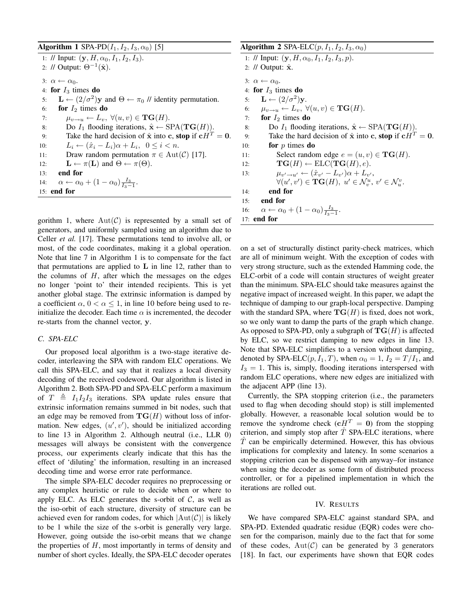# **Algorithm 1** SPA-PD $(I_1, I_2, I_3, \alpha_0)$  [5]

1: // Input:  $(y, H, \alpha_0, I_1, I_2, I_3)$ . 2: // Output:  $\Theta^{-1}(\hat{\mathbf{x}})$ . 3:  $\alpha \leftarrow \alpha_0$ . 4: **for**  $I_3$  times **do** 5:  $\mathbf{L} \leftarrow (2/\sigma^2)\mathbf{y}$  and  $\Theta \leftarrow \pi_0$  // identity permutation. 6: **for**  $I_2$  times **do** 7:  $\mu_{v \to u} \leftarrow L_v, \ \forall (u, v) \in \mathbf{TG}(H).$ 8: Do  $I_1$  flooding iterations,  $\hat{\mathbf{x}} \leftarrow \text{SPA}(\mathbf{TG}(H)).$ 9: Take the hard decision of  $\hat{\mathbf{x}}$  into **c**, **stop** if  $f{c}H^T = 0$ . 10:  $L_i \leftarrow (\hat{x}_i - L_i)\alpha + L_i, \ \ 0 \leq i < n.$ 11: Draw random permutation  $\pi \in \text{Aut}(\mathcal{C})$  [17]. 12:  $\mathbf{L} \leftarrow \pi(\mathbf{L})$  and  $\Theta \leftarrow \pi(\Theta)$ . 13: **end for** 14:  $\alpha \leftarrow \alpha_0 + (1 - \alpha_0) \frac{I_3}{I_3 - 1}.$ 15: **end for**

gorithm 1, where  $Aut(\mathcal{C})$  is represented by a small set of generators, and uniformly sampled using an algorithm due to Celler *et al.* [17]. These permutations tend to involve all, or most, of the code coordinates, making it a global operation. Note that line 7 in Algorithm 1 is to compensate for the fact that permutations are applied to  $L$  in line 12, rather than to the columns of  $H$ , after which the messages on the edges no longer 'point to' their intended recipients. This is yet another global stage. The extrinsic information is damped by a coefficient  $\alpha$ ,  $0 < \alpha \leq 1$ , in line 10 before being used to reinitialize the decoder. Each time  $\alpha$  is incremented, the decoder re-starts from the channel vector, y.

# *C. SPA-ELC*

Our proposed local algorithm is a two-stage iterative decoder, interleaving the SPA with random ELC operations. We call this SPA-ELC, and say that it realizes a local diversity decoding of the received codeword. Our algorithm is listed in Algorithm 2. Both SPA-PD and SPA-ELC perform a maximum of  $T \triangleq I_1I_2I_3$  iterations. SPA update rules ensure that extrinsic information remains summed in bit nodes, such that an edge may be removed from  $TG(H)$  without loss of information. New edges,  $(u', v')$ , should be initialized according to line 13 in Algorithm 2. Although neutral (i.e., LLR 0) messages will always be consistent with the convergence process, our experiments clearly indicate that this has the effect of 'diluting' the information, resulting in an increased decoding time and worse error rate performance.

The simple SPA-ELC decoder requires no preprocessing or any complex heuristic or rule to decide when or where to apply ELC. As ELC generates the s-orbit of  $C$ , as well as the iso-orbit of each structure, diversity of structure can be achieved even for random codes, for which  $|\text{Aut}(\mathcal{C})|$  is likely to be 1 while the size of the s-orbit is generally very large. However, going outside the iso-orbit means that we change the properties of  $H$ , most importantly in terms of density and number of short cycles. Ideally, the SPA-ELC decoder operates **Algorithm 2** SPA-ELC $(p, I_1, I_2, I_3, \alpha_0)$ 1: // Input:  $(y, H, \alpha_0, I_1, I_2, I_3, p)$ . 2: // Output:  $\hat{\mathbf{x}}$ . 3:  $\alpha \leftarrow \alpha_0$ . 4: **for**  $I_3$  times **do** 5:  $\mathbf{L} \leftarrow (2/\sigma^2)\mathbf{y}$ . 6:  $\mu_{v \to u} \leftarrow L_v, \ \forall (u, v) \in \mathbf{TG}(H).$ 7: **for**  $I_2$  times **do** 8: Do  $I_1$  flooding iterations,  $\hat{\mathbf{x}} \leftarrow \text{SPA}(\mathbf{TG}(H)).$ 9: Take the hard decision of  $\hat{\mathbf{x}}$  into c, **stop** if  $\mathbf{c}H^T = \mathbf{0}$ . 10: **for** p times **do** 11: Select random edge  $e = (u, v) \in \mathbf{TG}(H)$ . 12:  $\mathbf{TG}(H) \leftarrow \text{ELC}(\mathbf{TG}(H), e).$ 13:  $\mu_{v' \to u'} \leftarrow (\hat{x}_{v'} - L_{v'}) \alpha + L_{v'},$  $\forall (u',v') \in \mathbf{TG}(H), \ u' \in \mathcal{N}_v^u, \ v' \in \mathcal{N}_u^v.$ 14: **end for** 15: **end for** 16:  $\alpha \leftarrow \alpha_0 + (1 - \alpha_0) \frac{I_3}{I_3 - 1}.$ 17: **end for**

on a set of structurally distinct parity-check matrices, which are all of minimum weight. With the exception of codes with very strong structure, such as the extended Hamming code, the ELC-orbit of a code will contain structures of weight greater than the minimum. SPA-ELC should take measures against the negative impact of increased weight. In this paper, we adapt the technique of damping to our graph-local perspective. Damping with the standard SPA, where  $TG(H)$  is fixed, does not work, so we only want to damp the parts of the graph which change. As opposed to SPA-PD, only a subgraph of  $TG(H)$  is affected by ELC, so we restrict damping to new edges in line 13. Note that SPA-ELC simplifies to a version without damping, denoted by SPA-ELC $(p, I_1, T)$ , when  $\alpha_0 = 1$ ,  $I_2 = T / I_1$ , and  $I_3 = 1$ . This is, simply, flooding iterations interspersed with random ELC operations, where new edges are initialized with the adjacent APP (line 13).

Currently, the SPA stopping criterion (i.e., the parameters used to flag when decoding should stop) is still implemented globally. However, a reasonable local solution would be to remove the syndrome check ( $cH<sup>T</sup> = 0$ ) from the stopping criterion, and simply stop after  $\hat{T}$  SPA-ELC iterations, where  $\overline{T}$  can be empirically determined. However, this has obvious implications for complexity and latency. In some scenarios a stopping criterion can be dispensed with anyway–for instance when using the decoder as some form of distributed process controller, or for a pipelined implementation in which the iterations are rolled out.

# IV. RESULTS

We have compared SPA-ELC against standard SPA, and SPA-PD. Extended quadratic residue (EQR) codes were chosen for the comparison, mainly due to the fact that for some of these codes,  $Aut(\mathcal{C})$  can be generated by 3 generators [18]. In fact, our experiments have shown that EQR codes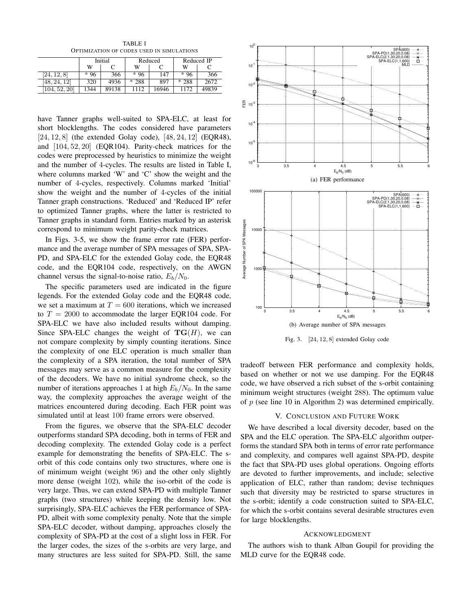TABLE I OPTIMIZATION OF CODES USED IN SIMULATIONS

|                            | Initial |       | Reduced |       | Reduced IP |       |
|----------------------------|---------|-------|---------|-------|------------|-------|
|                            | w       |       | w       |       | W          |       |
| [24, 12, 8]                | $*96$   | 366   | $*96$   | 147   | $*96$      | 366   |
| $48.^{\circ}$<br>12<br>24. | 320     | 4936  | $*288$  | 897   | $*288$     | 2672  |
| [104, 52, 20]              | 1344    | 89138 | 112     | 16946 | 1172       | 49839 |

have Tanner graphs well-suited to SPA-ELC, at least for short blocklengths. The codes considered have parameters [24, 12, 8] (the extended Golay code), [48, 24, 12] (EQR48), and [104, 52, 20] (EQR104). Parity-check matrices for the codes were preprocessed by heuristics to minimize the weight and the number of 4-cycles. The results are listed in Table I, where columns marked 'W' and 'C' show the weight and the number of 4-cycles, respectively. Columns marked 'Initial' show the weight and the number of 4-cycles of the initial Tanner graph constructions. 'Reduced' and 'Reduced IP' refer to optimized Tanner graphs, where the latter is restricted to Tanner graphs in standard form. Entries marked by an asterisk correspond to minimum weight parity-check matrices.

In Figs. 3-5, we show the frame error rate (FER) performance and the average number of SPA messages of SPA, SPA-PD, and SPA-ELC for the extended Golay code, the EQR48 code, and the EQR104 code, respectively, on the AWGN channel versus the signal-to-noise ratio,  $E_b/N_0$ .

The specific parameters used are indicated in the figure legends. For the extended Golay code and the EQR48 code, we set a maximum at  $T = 600$  iterations, which we increased to  $T = 2000$  to accommodate the larger EQR104 code. For SPA-ELC we have also included results without damping. Since SPA-ELC changes the weight of  $TG(H)$ , we can not compare complexity by simply counting iterations. Since the complexity of one ELC operation is much smaller than the complexity of a SPA iteration, the total number of SPA messages may serve as a common measure for the complexity of the decoders. We have no initial syndrome check, so the number of iterations approaches 1 at high  $E_b/N_0$ . In the same way, the complexity approaches the average weight of the matrices encountered during decoding. Each FER point was simulated until at least 100 frame errors were observed.

From the figures, we observe that the SPA-ELC decoder outperforms standard SPA decoding, both in terms of FER and decoding complexity. The extended Golay code is a perfect example for demonstrating the benefits of SPA-ELC. The sorbit of this code contains only two structures, where one is of minimum weight (weight 96) and the other only slightly more dense (weight 102), while the iso-orbit of the code is very large. Thus, we can extend SPA-PD with multiple Tanner graphs (two structures) while keeping the density low. Not surprisingly, SPA-ELC achieves the FER performance of SPA-PD, albeit with some complexity penalty. Note that the simple SPA-ELC decoder, without damping, approaches closely the complexity of SPA-PD at the cost of a slight loss in FER. For the larger codes, the sizes of the s-orbits are very large, and many structures are less suited for SPA-PD. Still, the same



Fig. 3. [24, 12, 8] extended Golay code

tradeoff between FER performance and complexity holds, based on whether or not we use damping. For the EQR48 code, we have observed a rich subset of the s-orbit containing minimum weight structures (weight 288). The optimum value of  $p$  (see line 10 in Algorithm 2) was determined empirically.

# V. CONCLUSION AND FUTURE WORK

We have described a local diversity decoder, based on the SPA and the ELC operation. The SPA-ELC algorithm outperforms the standard SPA both in terms of error rate performance and complexity, and compares well against SPA-PD, despite the fact that SPA-PD uses global operations. Ongoing efforts are devoted to further improvements, and include; selective application of ELC, rather than random; devise techniques such that diversity may be restricted to sparse structures in the s-orbit; identify a code construction suited to SPA-ELC, for which the s-orbit contains several desirable structures even for large blocklengths.

# ACKNOWLEDGMENT

The authors wish to thank Alban Goupil for providing the MLD curve for the EQR48 code.